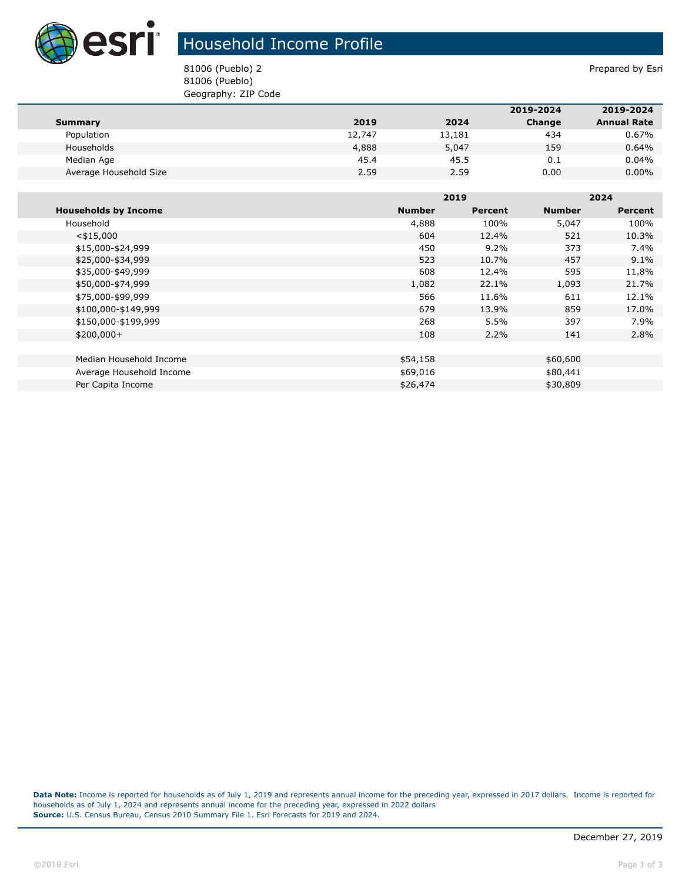

## Household Income Profile

81006 (Pueblo) 2 Prepared by Esri 81006 (Pueblo) Geography: ZIP Code

|                        |        |        | 2019-2024 | 2019-2024          |
|------------------------|--------|--------|-----------|--------------------|
| Summary                | 2019   | 2024   | Change    | <b>Annual Rate</b> |
| Population             | 12,747 | 13,181 | 434       | 0.67%              |
| Households             | 4,888  | 5,047  | 159       | 0.64%              |
| Median Age             | 45.4   | 45.5   | 0.1       | 0.04%              |
| Average Household Size | 2.59   | 2.59   | 0.00      | $0.00\%$           |

|                             |               | 2019    |               | 2024           |  |
|-----------------------------|---------------|---------|---------------|----------------|--|
| <b>Households by Income</b> | <b>Number</b> | Percent | <b>Number</b> | <b>Percent</b> |  |
| Household                   | 4,888         | 100%    | 5,047         | 100%           |  |
| $<$ \$15,000                | 604           | 12.4%   | 521           | 10.3%          |  |
| \$15,000-\$24,999           | 450           | 9.2%    | 373           | 7.4%           |  |
| \$25,000-\$34,999           | 523           | 10.7%   | 457           | 9.1%           |  |
| \$35,000-\$49,999           | 608           | 12.4%   | 595           | 11.8%          |  |
| \$50,000-\$74,999           | 1,082         | 22.1%   | 1,093         | 21.7%          |  |
| \$75,000-\$99,999           | 566           | 11.6%   | 611           | 12.1%          |  |
| \$100,000-\$149,999         | 679           | 13.9%   | 859           | 17.0%          |  |
| \$150,000-\$199,999         | 268           | 5.5%    | 397           | 7.9%           |  |
| $$200,000+$                 | 108           | 2.2%    | 141           | 2.8%           |  |
|                             |               |         |               |                |  |
| Median Household Income     | \$54,158      |         | \$60,600      |                |  |
| Average Household Income    | \$69,016      |         | \$80,441      |                |  |
| Per Capita Income           | \$26,474      |         | \$30,809      |                |  |

**Data Note:** Income is reported for households as of July 1, 2019 and represents annual income for the preceding year, expressed in 2017 dollars. Income is reported for households as of July 1, 2024 and represents annual income for the preceding year, expressed in 2022 dollars **Source:** U.S. Census Bureau, Census 2010 Summary File 1. Esri Forecasts for 2019 and 2024.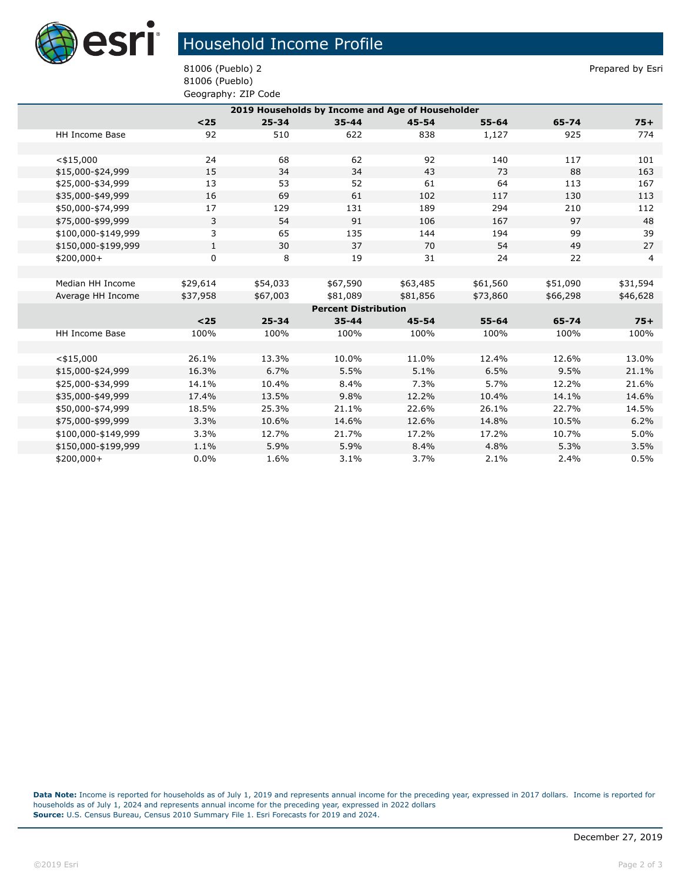

## Household Income Profile

81006 (Pueblo) 2 Prepared by Esri 81006 (Pueblo) Geography: ZIP Code

| 2019 Households by Income and Age of Householder |                       |              |           |                             |           |           |          |                |
|--------------------------------------------------|-----------------------|--------------|-----------|-----------------------------|-----------|-----------|----------|----------------|
|                                                  |                       | $25$         | $25 - 34$ | $35 - 44$                   | $45 - 54$ | $55 - 64$ | 65-74    | $75+$          |
|                                                  | <b>HH Income Base</b> | 92           | 510       | 622                         | 838       | 1,127     | 925      | 774            |
|                                                  |                       |              |           |                             |           |           |          |                |
|                                                  | $<$ \$15,000          | 24           | 68        | 62                          | 92        | 140       | 117      | 101            |
|                                                  | \$15,000-\$24,999     | 15           | 34        | 34                          | 43        | 73        | 88       | 163            |
|                                                  | \$25,000-\$34,999     | 13           | 53        | 52                          | 61        | 64        | 113      | 167            |
|                                                  | \$35,000-\$49,999     | 16           | 69        | 61                          | 102       | 117       | 130      | 113            |
|                                                  | \$50,000-\$74,999     | 17           | 129       | 131                         | 189       | 294       | 210      | 112            |
|                                                  | \$75,000-\$99,999     | 3            | 54        | 91                          | 106       | 167       | 97       | 48             |
|                                                  | \$100,000-\$149,999   | 3            | 65        | 135                         | 144       | 194       | 99       | 39             |
|                                                  | \$150,000-\$199,999   | $\mathbf{1}$ | 30        | 37                          | 70        | 54        | 49       | 27             |
|                                                  | \$200,000+            | $\mathbf 0$  | 8         | 19                          | 31        | 24        | 22       | $\overline{4}$ |
|                                                  |                       |              |           |                             |           |           |          |                |
|                                                  | Median HH Income      | \$29,614     | \$54,033  | \$67,590                    | \$63,485  | \$61,560  | \$51,090 | \$31,594       |
|                                                  | Average HH Income     | \$37,958     | \$67,003  | \$81,089                    | \$81,856  | \$73,860  | \$66,298 | \$46,628       |
|                                                  |                       |              |           | <b>Percent Distribution</b> |           |           |          |                |
|                                                  |                       | $<25$        | $25 - 34$ | $35 - 44$                   | $45 - 54$ | $55 - 64$ | 65-74    | $75+$          |
|                                                  | HH Income Base        | 100%         | 100%      | 100%                        | 100%      | 100%      | 100%     | 100%           |
|                                                  |                       |              |           |                             |           |           |          |                |
|                                                  | $<$ \$15,000          | 26.1%        | 13.3%     | 10.0%                       | 11.0%     | 12.4%     | 12.6%    | 13.0%          |
|                                                  | \$15,000-\$24,999     | 16.3%        | 6.7%      | 5.5%                        | 5.1%      | 6.5%      | 9.5%     | 21.1%          |
|                                                  | \$25,000-\$34,999     | 14.1%        | 10.4%     | 8.4%                        | 7.3%      | 5.7%      | 12.2%    | 21.6%          |
|                                                  | \$35,000-\$49,999     | 17.4%        | 13.5%     | 9.8%                        | 12.2%     | 10.4%     | 14.1%    | 14.6%          |
|                                                  | \$50,000-\$74,999     | 18.5%        | 25.3%     | 21.1%                       | 22.6%     | 26.1%     | 22.7%    | 14.5%          |
|                                                  | \$75,000-\$99,999     | 3.3%         | 10.6%     | 14.6%                       | 12.6%     | 14.8%     | 10.5%    | 6.2%           |
|                                                  | \$100,000-\$149,999   | 3.3%         | 12.7%     | 21.7%                       | 17.2%     | 17.2%     | 10.7%    | 5.0%           |
|                                                  | \$150,000-\$199,999   | 1.1%         | 5.9%      | 5.9%                        | 8.4%      | 4.8%      | 5.3%     | 3.5%           |
|                                                  | $$200,000+$           | 0.0%         | 1.6%      | 3.1%                        | 3.7%      | 2.1%      | 2.4%     | 0.5%           |
|                                                  |                       |              |           |                             |           |           |          |                |

**Data Note:** Income is reported for households as of July 1, 2019 and represents annual income for the preceding year, expressed in 2017 dollars. Income is reported for households as of July 1, 2024 and represents annual income for the preceding year, expressed in 2022 dollars **Source:** U.S. Census Bureau, Census 2010 Summary File 1. Esri Forecasts for 2019 and 2024.